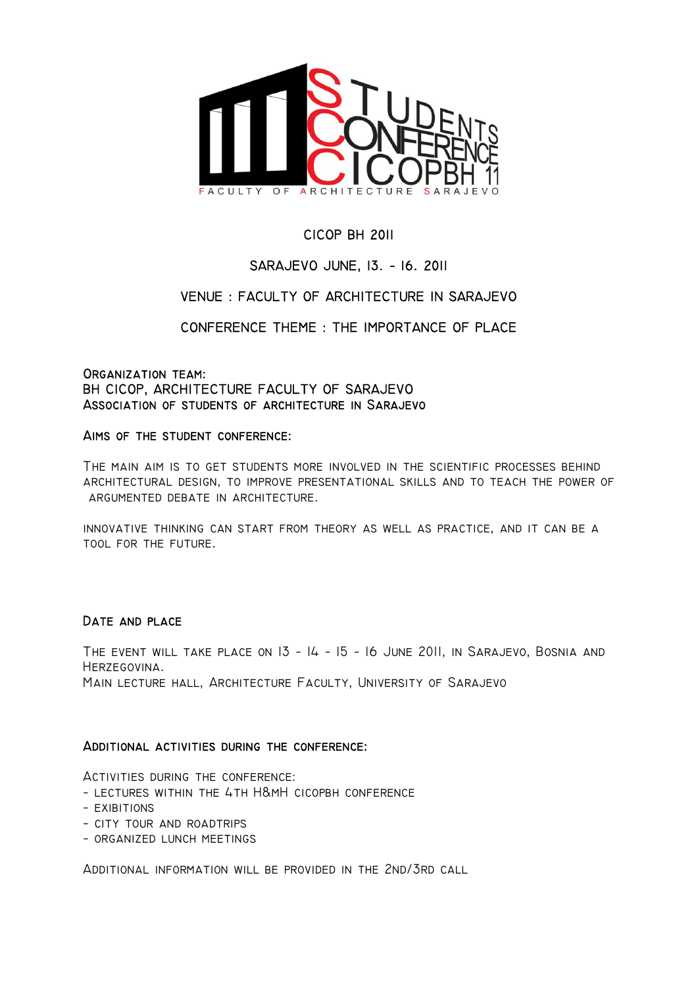

# CICOP BH 2011

# SARAJEVO JUNE, 13. − 16. 2011

# VENUE : FACULTY OF ARCHITECTURE IN SARAJEVO

CONFERENCE THEME : THE IMPORTANCE OF PLACE

### Organization team: BH CICOP, ARCHITECTURE FACULTY OF SARAJEVO Association of students of architecture in Sarajevo

### Aims of the student conference:

The main aim is to get students more involved in the scientific processes behind architectural design, to improve presentational skills and to teach the power of argumented debate in architecture.

innovative thinking can start from theory as well as practice, and it can be a tool for the future.

### DATE AND PLACE

THE EVENT WILL TAKE PLACE ON 13 - 14 - 15 - 16 JUNE 2011, IN SARAJEVO, BOSNIA AND Herzegovina. Main lecture hall, Architecture Faculty, University of Sarajevo

### Additional activities during the conference:

Activities during the conference:

- − lectures within the 4th H&mH cicopbh conference
- − exibitions
- − city tour and roadtrips
- − organized lunch meetings

Additional information will be provided in the 2nd/3rd call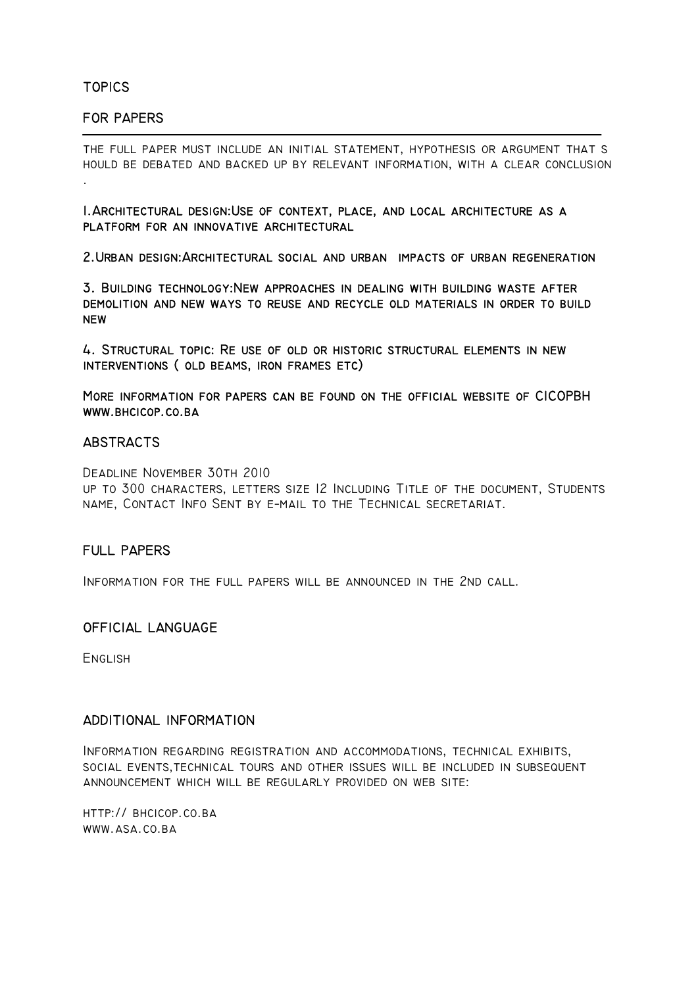TOPICS

 $\overline{a}$ 

.

## FOR PAPERS

the full paper must include an initial statement, hypothesis or argument that s hould be debated and backed up by relevant information, with a clear conclusion

1.Architectural design:Use of context, place, and local architecture as a platform for an innovative architectural

2.Urban design:Architectural social and urban impacts of urban regeneration

3. Building technology:New approaches in dealing with building waste after demolition and new ways to reuse and recycle old materials in order to build **NEW** 

4. Structural topic: Re use of old or historic structural elements in new interventions ( old beams, iron frames etc)

More information for papers can be found on the official website of CICOPBH www.bhcicop.co.ba

### **ABSTRACTS**

Deadline November 30th 2010

up to 300 characters, letters size 12 Including Title of the document, Students name, Contact Info Sent by e−mail to the Technical secretariat.

### FULL PAPERS

Information for the full papers will be announced in the 2nd call.

### OFFICIAL LANGUAGE

**ENGLISH** 

### ADDITIONAL INFORMATION

Information regarding registration and accommodations, technical exhibits, social events,technical tours and other issues will be included in subsequent announcement which will be regularly provided on web site:

http:// bhcicop.co.ba www.asa.co.ba